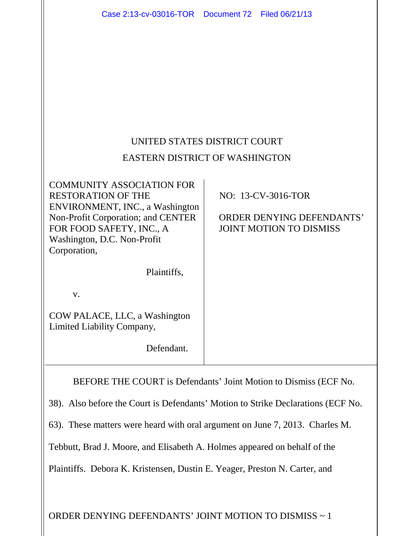|                                                                                  | Case 2:13-cv-03016-TOR  Document 72  Filed 06/21/13                                                                                                                                               |  |                                                                                          |
|----------------------------------------------------------------------------------|---------------------------------------------------------------------------------------------------------------------------------------------------------------------------------------------------|--|------------------------------------------------------------------------------------------|
|                                                                                  |                                                                                                                                                                                                   |  |                                                                                          |
|                                                                                  |                                                                                                                                                                                                   |  |                                                                                          |
|                                                                                  |                                                                                                                                                                                                   |  |                                                                                          |
|                                                                                  |                                                                                                                                                                                                   |  |                                                                                          |
| UNITED STATES DISTRICT COURT                                                     |                                                                                                                                                                                                   |  |                                                                                          |
| <b>EASTERN DISTRICT OF WASHINGTON</b>                                            |                                                                                                                                                                                                   |  |                                                                                          |
| Corporation,                                                                     | <b>COMMUNITY ASSOCIATION FOR</b><br><b>RESTORATION OF THE</b><br>ENVIRONMENT, INC., a Washington<br>Non-Profit Corporation; and CENTER<br>FOR FOOD SAFETY, INC., A<br>Washington, D.C. Non-Profit |  | NO: 13-CV-3016-TOR<br><b>ORDER DENYING DEFENDANTS'</b><br><b>JOINT MOTION TO DISMISS</b> |
|                                                                                  | Plaintiffs,                                                                                                                                                                                       |  |                                                                                          |
| V.                                                                               |                                                                                                                                                                                                   |  |                                                                                          |
|                                                                                  | COW PALACE, LLC, a Washington<br>Limited Liability Company,                                                                                                                                       |  |                                                                                          |
|                                                                                  | Defendant.                                                                                                                                                                                        |  |                                                                                          |
| BEFORE THE COURT is Defendants' Joint Motion to Dismiss (ECF No.                 |                                                                                                                                                                                                   |  |                                                                                          |
| 38). Also before the Court is Defendants' Motion to Strike Declarations (ECF No. |                                                                                                                                                                                                   |  |                                                                                          |
| 63). These matters were heard with oral argument on June 7, 2013. Charles M.     |                                                                                                                                                                                                   |  |                                                                                          |
| Tebbutt, Brad J. Moore, and Elisabeth A. Holmes appeared on behalf of the        |                                                                                                                                                                                                   |  |                                                                                          |
| Plaintiffs. Debora K. Kristensen, Dustin E. Yeager, Preston N. Carter, and       |                                                                                                                                                                                                   |  |                                                                                          |
|                                                                                  |                                                                                                                                                                                                   |  |                                                                                          |
| ORDER DENYING DEFENDANTS' JOINT MOTION TO DISMISS ~ 1                            |                                                                                                                                                                                                   |  |                                                                                          |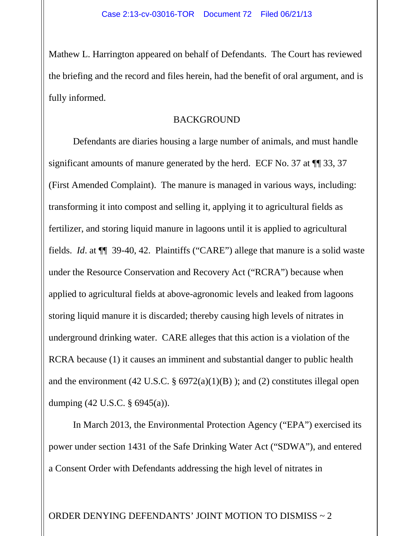Mathew L. Harrington appeared on behalf of Defendants. The Court has reviewed the briefing and the record and files herein, had the benefit of oral argument, and is fully informed.

#### BACKGROUND

Defendants are diaries housing a large number of animals, and must handle significant amounts of manure generated by the herd. ECF No. 37 at  $\P$  33, 37 (First Amended Complaint). The manure is managed in various ways, including: transforming it into compost and selling it, applying it to agricultural fields as fertilizer, and storing liquid manure in lagoons until it is applied to agricultural fields. *Id*. at ¶¶ 39-40, 42. Plaintiffs ("CARE") allege that manure is a solid waste under the Resource Conservation and Recovery Act ("RCRA") because when applied to agricultural fields at above-agronomic levels and leaked from lagoons storing liquid manure it is discarded; thereby causing high levels of nitrates in underground drinking water. CARE alleges that this action is a violation of the RCRA because (1) it causes an imminent and substantial danger to public health and the environment (42 U.S.C.  $\S 6972(a)(1)(B)$ ); and (2) constitutes illegal open dumping (42 U.S.C. § 6945(a)).

In March 2013, the Environmental Protection Agency ("EPA") exercised its power under section 1431 of the Safe Drinking Water Act ("SDWA"), and entered a Consent Order with Defendants addressing the high level of nitrates in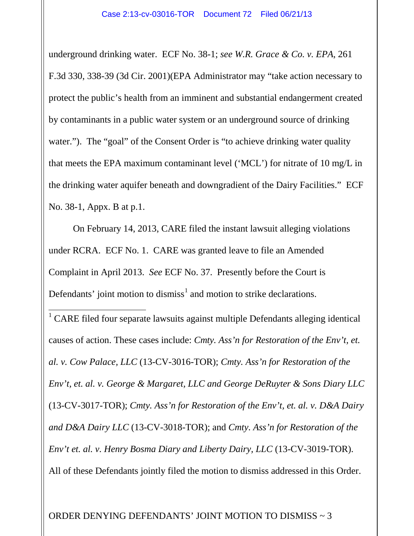underground drinking water. ECF No. 38-1; *see W.R. Grace & Co. v. EPA*, 261 F.3d 330, 338-39 (3d Cir. 2001)(EPA Administrator may "take action necessary to protect the public's health from an imminent and substantial endangerment created by contaminants in a public water system or an underground source of drinking water."). The "goal" of the Consent Order is "to achieve drinking water quality that meets the EPA maximum contaminant level ('MCL') for nitrate of 10 mg/L in the drinking water aquifer beneath and downgradient of the Dairy Facilities." ECF No. 38-1, Appx. B at p.1.

On February 14, 2013, CARE filed the instant lawsuit alleging violations under RCRA. ECF No. 1. CARE was granted leave to file an Amended Complaint in April 2013. *See* ECF No. 37. Presently before the Court is Defendants' joint motion to dismiss<sup>[1](#page-2-0)</sup> and motion to strike declarations.

<span id="page-2-0"></span><sup>1</sup> CARE filed four separate lawsuits against multiple Defendants alleging identical causes of action. These cases include: *Cmty. Ass'n for Restoration of the Env't, et. al. v. Cow Palace, LLC* (13-CV-3016-TOR); *Cmty. Ass'n for Restoration of the Env't, et. al. v. George & Margaret, LLC and George DeRuyter & Sons Diary LLC* (13-CV-3017-TOR); *Cmty. Ass'n for Restoration of the Env't, et. al. v. D&A Dairy and D&A Dairy LLC* (13-CV-3018-TOR); and *Cmty. Ass'n for Restoration of the Env't et. al. v. Henry Bosma Diary and Liberty Dairy, LLC* (13-CV-3019-TOR). All of these Defendants jointly filed the motion to dismiss addressed in this Order.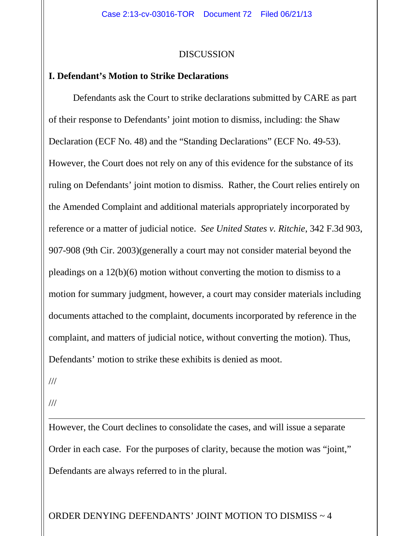#### DISCUSSION

### **I. Defendant's Motion to Strike Declarations**

Defendants ask the Court to strike declarations submitted by CARE as part of their response to Defendants' joint motion to dismiss, including: the Shaw Declaration (ECF No. 48) and the "Standing Declarations" (ECF No. 49-53). However, the Court does not rely on any of this evidence for the substance of its ruling on Defendants' joint motion to dismiss. Rather, the Court relies entirely on the Amended Complaint and additional materials appropriately incorporated by reference or a matter of judicial notice. *See United States v. Ritchie*, 342 F.3d 903, 907-908 (9th Cir. 2003)(generally a court may not consider material beyond the pleadings on a 12(b)(6) motion without converting the motion to dismiss to a motion for summary judgment, however, a court may consider materials including documents attached to the complaint, documents incorporated by reference in the complaint, and matters of judicial notice, without converting the motion). Thus, Defendants' motion to strike these exhibits is denied as moot.

///

///

Ξ

However, the Court declines to consolidate the cases, and will issue a separate Order in each case. For the purposes of clarity, because the motion was "joint," Defendants are always referred to in the plural.

ORDER DENYING DEFENDANTS' JOINT MOTION TO DISMISS ~ 4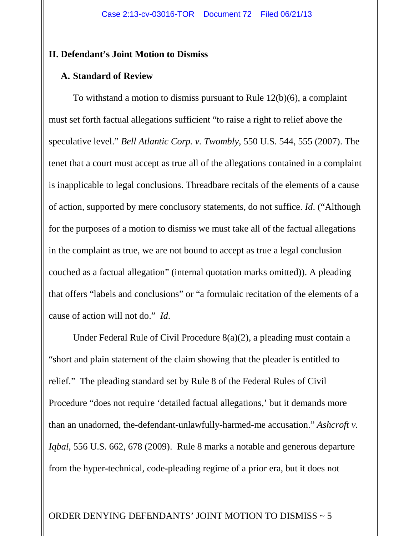### **II. Defendant's Joint Motion to Dismiss**

### **A. Standard of Review**

To withstand a motion to dismiss pursuant to Rule 12(b)(6), a complaint must set forth factual allegations sufficient "to raise a right to relief above the speculative level." *Bell Atlantic Corp. v. Twombly*, 550 U.S. 544, 555 (2007). The tenet that a court must accept as true all of the allegations contained in a complaint is inapplicable to legal conclusions. Threadbare recitals of the elements of a cause of action, supported by mere conclusory statements, do not suffice. *Id*. ("Although for the purposes of a motion to dismiss we must take all of the factual allegations in the complaint as true, we are not bound to accept as true a legal conclusion couched as a factual allegation" (internal quotation marks omitted)). A pleading that offers "labels and conclusions" or "a formulaic recitation of the elements of a cause of action will not do." *Id*.

Under Federal Rule of Civil Procedure 8(a)(2), a pleading must contain a "short and plain statement of the claim showing that the pleader is entitled to relief." The pleading standard set by Rule 8 of the Federal Rules of Civil Procedure "does not require 'detailed factual allegations,' but it demands more than an unadorned, the-defendant-unlawfully-harmed-me accusation." *Ashcroft v. Iqbal*, 556 U.S. 662, 678 (2009). Rule 8 marks a notable and generous departure from the hyper-technical, code-pleading regime of a prior era, but it does not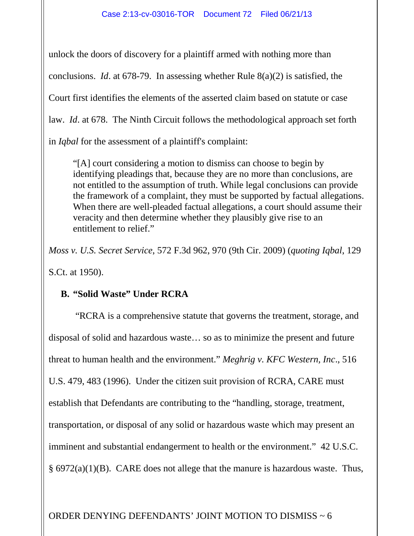unlock the doors of discovery for a plaintiff armed with nothing more than conclusions. *Id*. at 678-79. In assessing whether Rule 8(a)(2) is satisfied, the Court first identifies the elements of the asserted claim based on statute or case law. *Id*. at 678. The Ninth Circuit follows the methodological approach set forth in *Iqbal* for the assessment of a plaintiff's complaint:

"[A] court considering a motion to dismiss can choose to begin by identifying pleadings that, because they are no more than conclusions, are not entitled to the assumption of truth. While legal conclusions can provide the framework of a complaint, they must be supported by factual allegations. When there are well-pleaded factual allegations, a court should assume their veracity and then determine whether they plausibly give rise to an entitlement to relief."

*Moss v. U.S. Secret Service*, 572 F.3d 962, 970 (9th Cir. 2009) (*quoting Iqbal*, 129 S.Ct. at 1950).

# **B. "Solid Waste" Under RCRA**

"RCRA is a comprehensive statute that governs the treatment, storage, and disposal of solid and hazardous waste… so as to minimize the present and future threat to human health and the environment." *Meghrig v. KFC Western, Inc*., 516 U.S. 479, 483 (1996). Under the citizen suit provision of RCRA, CARE must establish that Defendants are contributing to the "handling, storage, treatment, transportation, or disposal of any solid or hazardous waste which may present an imminent and substantial endangerment to health or the environment." 42 U.S.C. § 6972(a)(1)(B). CARE does not allege that the manure is hazardous waste. Thus,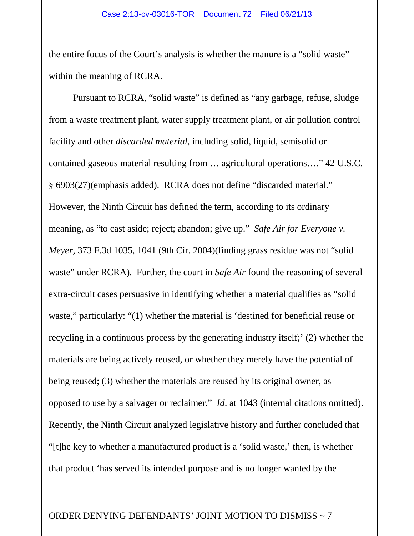the entire focus of the Court's analysis is whether the manure is a "solid waste" within the meaning of RCRA.

Pursuant to RCRA, "solid waste" is defined as "any garbage, refuse, sludge from a waste treatment plant, water supply treatment plant, or air pollution control facility and other *discarded material*, including solid, liquid, semisolid or contained gaseous material resulting from … agricultural operations…." 42 U.S.C. § 6903(27)(emphasis added). RCRA does not define "discarded material." However, the Ninth Circuit has defined the term, according to its ordinary meaning, as "to cast aside; reject; abandon; give up." *Safe Air for Everyone v. Meyer*, 373 F.3d 1035, 1041 (9th Cir. 2004)(finding grass residue was not "solid waste" under RCRA). Further, the court in *Safe Air* found the reasoning of several extra-circuit cases persuasive in identifying whether a material qualifies as "solid waste," particularly: "(1) whether the material is 'destined for beneficial reuse or recycling in a continuous process by the generating industry itself;' (2) whether the materials are being actively reused, or whether they merely have the potential of being reused; (3) whether the materials are reused by its original owner, as opposed to use by a salvager or reclaimer." *Id*. at 1043 (internal citations omitted). Recently, the Ninth Circuit analyzed legislative history and further concluded that "[t]he key to whether a manufactured product is a 'solid waste,' then, is whether that product 'has served its intended purpose and is no longer wanted by the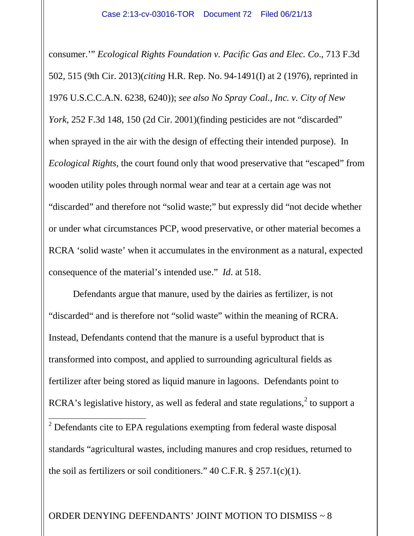consumer.'" *Ecological Rights Foundation v. Pacific Gas and Elec. Co*., 713 F.3d 502, 515 (9th Cir. 2013)(*citing* H.R. Rep. No. 94-1491(I) at 2 (1976), reprinted in 1976 U.S.C.C.A.N. 6238, 6240)); *see also No Spray Coal., Inc. v. City of New York*, 252 F.3d 148, 150 (2d Cir. 2001)(finding pesticides are not "discarded" when sprayed in the air with the design of effecting their intended purpose). In *Ecological Rights*, the court found only that wood preservative that "escaped" from wooden utility poles through normal wear and tear at a certain age was not "discarded" and therefore not "solid waste;" but expressly did "not decide whether or under what circumstances PCP, wood preservative, or other material becomes a RCRA 'solid waste' when it accumulates in the environment as a natural, expected consequence of the material's intended use." *Id*. at 518.

Defendants argue that manure, used by the dairies as fertilizer, is not "discarded" and is therefore not "solid waste" within the meaning of RCRA. Instead, Defendants contend that the manure is a useful byproduct that is transformed into compost, and applied to surrounding agricultural fields as fertilizer after being stored as liquid manure in lagoons. Defendants point to RCRA's legislative history, as well as federal and state regulations, $2$  to support a  $\overline{a}$  Defendants cite to EPA regulations exempting from federal waste disposal standards "agricultural wastes, including manures and crop residues, returned to

<span id="page-7-0"></span>the soil as fertilizers or soil conditioners."  $40$  C.F.R.  $\S$  257.1(c)(1).

## ORDER DENYING DEFENDANTS' JOINT MOTION TO DISMISS ~ 8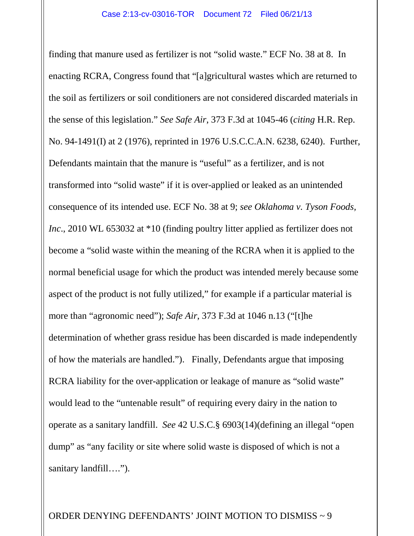finding that manure used as fertilizer is not "solid waste." ECF No. 38 at 8. In enacting RCRA, Congress found that "[a]gricultural wastes which are returned to the soil as fertilizers or soil conditioners are not considered discarded materials in the sense of this legislation." *See Safe Air*, 373 F.3d at 1045-46 (*citing* H.R. Rep. No. 94-1491(I) at 2 (1976), reprinted in 1976 U.S.C.C.A.N. 6238, 6240). Further, Defendants maintain that the manure is "useful" as a fertilizer, and is not transformed into "solid waste" if it is over-applied or leaked as an unintended consequence of its intended use. ECF No. 38 at 9; *see Oklahoma v. Tyson Foods, Inc.*, 2010 WL 653032 at \*10 (finding poultry litter applied as fertilizer does not become a "solid waste within the meaning of the RCRA when it is applied to the normal beneficial usage for which the product was intended merely because some aspect of the product is not fully utilized," for example if a particular material is more than "agronomic need"); *Safe Air*, 373 F.3d at 1046 n.13 ("[t]he determination of whether grass residue has been discarded is made independently of how the materials are handled."). Finally, Defendants argue that imposing RCRA liability for the over-application or leakage of manure as "solid waste" would lead to the "untenable result" of requiring every dairy in the nation to operate as a sanitary landfill. *See* 42 U.S.C.§ 6903(14)(defining an illegal "open dump" as "any facility or site where solid waste is disposed of which is not a sanitary landfill….").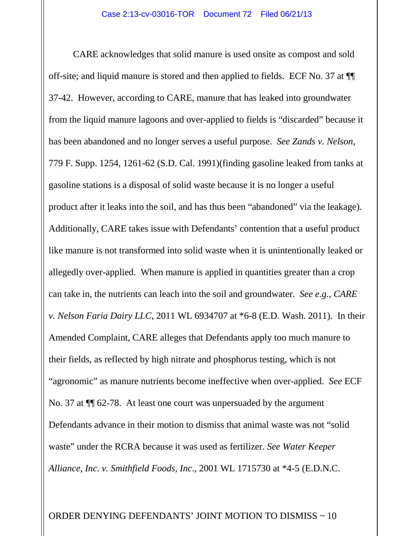CARE acknowledges that solid manure is used onsite as compost and sold off-site; and liquid manure is stored and then applied to fields. ECF No. 37 at ¶¶ 37-42. However, according to CARE, manure that has leaked into groundwater from the liquid manure lagoons and over-applied to fields is "discarded" because it has been abandoned and no longer serves a useful purpose. *See Zands v. Nelson*, 779 F. Supp. 1254, 1261-62 (S.D. Cal. 1991)(finding gasoline leaked from tanks at gasoline stations is a disposal of solid waste because it is no longer a useful product after it leaks into the soil, and has thus been "abandoned" via the leakage). Additionally, CARE takes issue with Defendants' contention that a useful product like manure is not transformed into solid waste when it is unintentionally leaked or allegedly over-applied. When manure is applied in quantities greater than a crop can take in, the nutrients can leach into the soil and groundwater. *See e.g., CARE v. Nelson Faria Dairy LLC*, 2011 WL 6934707 at \*6-8 (E.D. Wash. 2011). In their Amended Complaint, CARE alleges that Defendants apply too much manure to their fields, as reflected by high nitrate and phosphorus testing, which is not "agronomic" as manure nutrients become ineffective when over-applied. *See* ECF No. 37 at ¶¶ 62-78. At least one court was unpersuaded by the argument Defendants advance in their motion to dismiss that animal waste was not "solid waste" under the RCRA because it was used as fertilizer. *See Water Keeper Alliance, Inc. v. Smithfield Foods, Inc*., 2001 WL 1715730 at \*4-5 (E.D.N.C.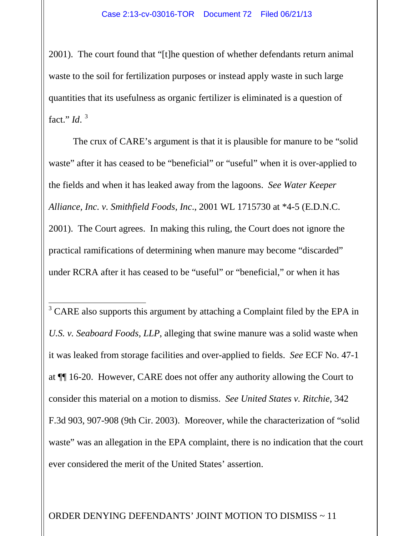2001). The court found that "[t]he question of whether defendants return animal waste to the soil for fertilization purposes or instead apply waste in such large quantities that its usefulness as organic fertilizer is eliminated is a question of fact." *Id*. [3](#page-10-0)

The crux of CARE's argument is that it is plausible for manure to be "solid waste" after it has ceased to be "beneficial" or "useful" when it is over-applied to the fields and when it has leaked away from the lagoons. *See Water Keeper Alliance, Inc. v. Smithfield Foods, Inc*., 2001 WL 1715730 at \*4-5 (E.D.N.C. 2001). The Court agrees. In making this ruling, the Court does not ignore the practical ramifications of determining when manure may become "discarded" under RCRA after it has ceased to be "useful" or "beneficial," or when it has

<span id="page-10-0"></span> $\overline{3}$  CARE also supports this argument by attaching a Complaint filed by the EPA in *U.S. v. Seaboard Foods, LLP*, alleging that swine manure was a solid waste when it was leaked from storage facilities and over-applied to fields. *See* ECF No. 47-1 at ¶¶ 16-20. However, CARE does not offer any authority allowing the Court to consider this material on a motion to dismiss. *See United States v. Ritchie*, 342 F.3d 903, 907-908 (9th Cir. 2003). Moreover, while the characterization of "solid waste" was an allegation in the EPA complaint, there is no indication that the court ever considered the merit of the United States' assertion.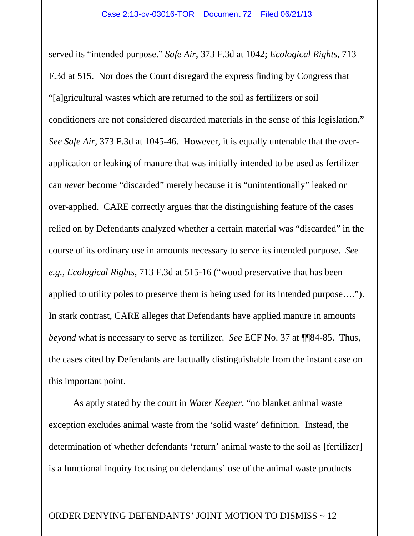served its "intended purpose." *Safe Air*, 373 F.3d at 1042; *Ecological Rights*, 713 F.3d at 515. Nor does the Court disregard the express finding by Congress that "[a]gricultural wastes which are returned to the soil as fertilizers or soil conditioners are not considered discarded materials in the sense of this legislation." *See Safe Air*, 373 F.3d at 1045-46. However, it is equally untenable that the overapplication or leaking of manure that was initially intended to be used as fertilizer can *never* become "discarded" merely because it is "unintentionally" leaked or over-applied. CARE correctly argues that the distinguishing feature of the cases relied on by Defendants analyzed whether a certain material was "discarded" in the course of its ordinary use in amounts necessary to serve its intended purpose. *See e.g., Ecological Rights*, 713 F.3d at 515-16 ("wood preservative that has been applied to utility poles to preserve them is being used for its intended purpose…."). In stark contrast, CARE alleges that Defendants have applied manure in amounts *beyond* what is necessary to serve as fertilizer. *See* ECF No. 37 at ¶¶84-85. Thus, the cases cited by Defendants are factually distinguishable from the instant case on this important point.

As aptly stated by the court in *Water Keeper*, "no blanket animal waste exception excludes animal waste from the 'solid waste' definition. Instead, the determination of whether defendants 'return' animal waste to the soil as [fertilizer] is a functional inquiry focusing on defendants' use of the animal waste products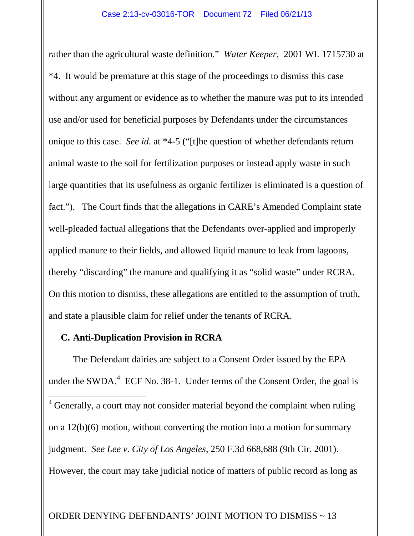rather than the agricultural waste definition." *Water Keeper*, 2001 WL 1715730 at \*4. It would be premature at this stage of the proceedings to dismiss this case without any argument or evidence as to whether the manure was put to its intended use and/or used for beneficial purposes by Defendants under the circumstances unique to this case. *See id.* at \*4-5 ("[t]he question of whether defendants return animal waste to the soil for fertilization purposes or instead apply waste in such large quantities that its usefulness as organic fertilizer is eliminated is a question of fact."). The Court finds that the allegations in CARE's Amended Complaint state well-pleaded factual allegations that the Defendants over-applied and improperly applied manure to their fields, and allowed liquid manure to leak from lagoons, thereby "discarding" the manure and qualifying it as "solid waste" under RCRA. On this motion to dismiss, these allegations are entitled to the assumption of truth, and state a plausible claim for relief under the tenants of RCRA.

## **C. Anti-Duplication Provision in RCRA**

<span id="page-12-0"></span>The Defendant dairies are subject to a Consent Order issued by the EPA under the SWDA.<sup>[4](#page-12-0)</sup> ECF No. 38-1. Under terms of the Consent Order, the goal is  $\frac{4}{4}$  Generally, a court may not consider material beyond the complaint when ruling on a 12(b)(6) motion, without converting the motion into a motion for summary judgment. *See Lee v. City of Los Angeles*, 250 F.3d 668,688 (9th Cir. 2001). However, the court may take judicial notice of matters of public record as long as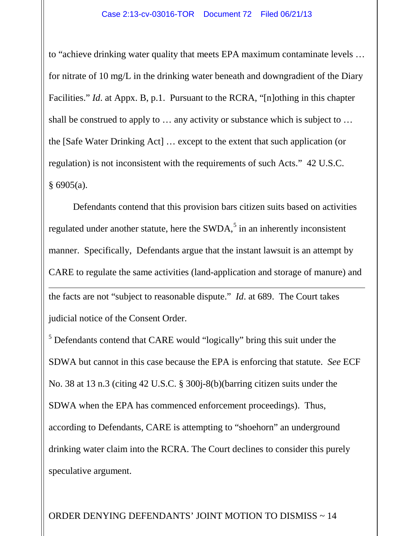to "achieve drinking water quality that meets EPA maximum contaminate levels … for nitrate of 10 mg/L in the drinking water beneath and downgradient of the Diary Facilities." *Id*. at Appx. B, p.1. Pursuant to the RCRA, "[n]othing in this chapter shall be construed to apply to … any activity or substance which is subject to … the [Safe Water Drinking Act] … except to the extent that such application (or regulation) is not inconsistent with the requirements of such Acts." 42 U.S.C.  $§ 6905(a).$ 

Defendants contend that this provision bars citizen suits based on activities regulated under another statute, here the  $SWDA$ ,<sup>[5](#page-13-0)</sup> in an inherently inconsistent manner. Specifically, Defendants argue that the instant lawsuit is an attempt by CARE to regulate the same activities (land-application and storage of manure) and the facts are not "subject to reasonable dispute." *Id*. at 689. The Court takes judicial notice of the Consent Order. Ξ

<span id="page-13-0"></span><sup>5</sup> Defendants contend that CARE would "logically" bring this suit under the SDWA but cannot in this case because the EPA is enforcing that statute. *See* ECF No. 38 at 13 n.3 (citing 42 U.S.C. § 300j-8(b)(barring citizen suits under the SDWA when the EPA has commenced enforcement proceedings). Thus, according to Defendants, CARE is attempting to "shoehorn" an underground drinking water claim into the RCRA. The Court declines to consider this purely speculative argument.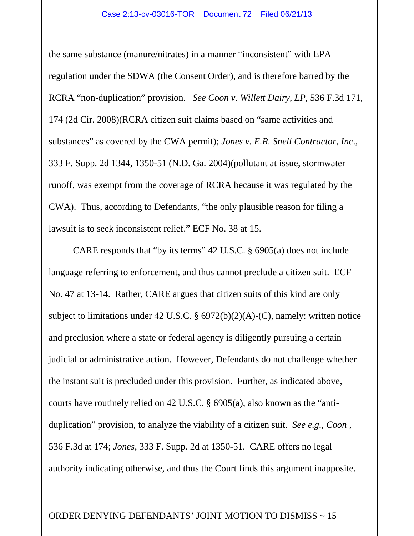the same substance (manure/nitrates) in a manner "inconsistent" with EPA regulation under the SDWA (the Consent Order), and is therefore barred by the RCRA "non-duplication" provision. *See Coon v. Willett Dairy, LP*, 536 F.3d 171, 174 (2d Cir. 2008)(RCRA citizen suit claims based on "same activities and substances" as covered by the CWA permit); *Jones v. E.R. Snell Contractor, Inc*., 333 F. Supp. 2d 1344, 1350-51 (N.D. Ga. 2004)(pollutant at issue, stormwater runoff, was exempt from the coverage of RCRA because it was regulated by the CWA). Thus, according to Defendants, "the only plausible reason for filing a lawsuit is to seek inconsistent relief." ECF No. 38 at 15.

CARE responds that "by its terms" 42 U.S.C. § 6905(a) does not include language referring to enforcement, and thus cannot preclude a citizen suit. ECF No. 47 at 13-14. Rather, CARE argues that citizen suits of this kind are only subject to limitations under 42 U.S.C. § 6972(b)(2)(A)-(C), namely: written notice and preclusion where a state or federal agency is diligently pursuing a certain judicial or administrative action. However, Defendants do not challenge whether the instant suit is precluded under this provision. Further, as indicated above, courts have routinely relied on 42 U.S.C. § 6905(a), also known as the "antiduplication" provision, to analyze the viability of a citizen suit. *See e.g., Coon ,*  536 F.3d at 174; *Jones*, 333 F. Supp. 2d at 1350-51. CARE offers no legal authority indicating otherwise, and thus the Court finds this argument inapposite.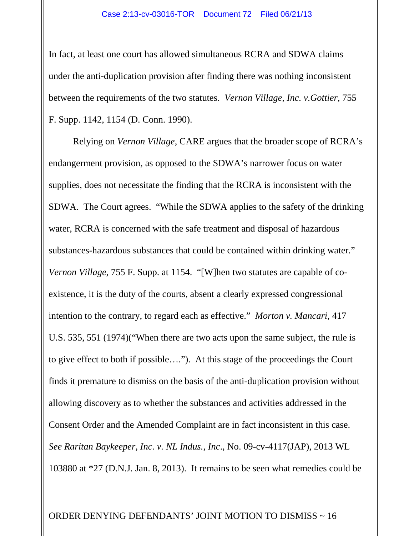In fact, at least one court has allowed simultaneous RCRA and SDWA claims under the anti-duplication provision after finding there was nothing inconsistent between the requirements of the two statutes. *Vernon Village, Inc. v.Gottier*, 755 F. Supp. 1142, 1154 (D. Conn. 1990).

Relying on *Vernon Village*, CARE argues that the broader scope of RCRA's endangerment provision, as opposed to the SDWA's narrower focus on water supplies, does not necessitate the finding that the RCRA is inconsistent with the SDWA. The Court agrees. "While the SDWA applies to the safety of the drinking water, RCRA is concerned with the safe treatment and disposal of hazardous substances-hazardous substances that could be contained within drinking water." *Vernon Village*, 755 F. Supp. at 1154. "[W]hen two statutes are capable of coexistence, it is the duty of the courts, absent a clearly expressed congressional intention to the contrary, to regard each as effective." *Morton v. Mancari*, 417 U.S. 535, 551 (1974)("When there are two acts upon the same subject, the rule is to give effect to both if possible…."). At this stage of the proceedings the Court finds it premature to dismiss on the basis of the anti-duplication provision without allowing discovery as to whether the substances and activities addressed in the Consent Order and the Amended Complaint are in fact inconsistent in this case. *See Raritan Baykeeper, Inc. v. NL Indus., Inc*., No. 09-cv-4117(JAP), 2013 WL 103880 at \*27 (D.N.J. Jan. 8, 2013). It remains to be seen what remedies could be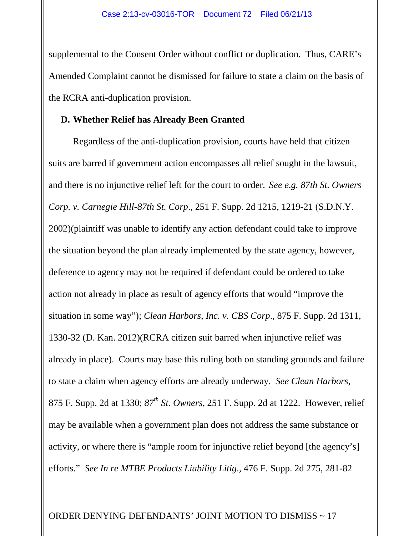supplemental to the Consent Order without conflict or duplication. Thus, CARE's Amended Complaint cannot be dismissed for failure to state a claim on the basis of the RCRA anti-duplication provision.

## **D. Whether Relief has Already Been Granted**

Regardless of the anti-duplication provision, courts have held that citizen suits are barred if government action encompasses all relief sought in the lawsuit, and there is no injunctive relief left for the court to order. *See e.g. 87th St. Owners Corp. v. Carnegie Hill-87th St. Corp*., 251 F. Supp. 2d 1215, 1219-21 (S.D.N.Y. 2002)(plaintiff was unable to identify any action defendant could take to improve the situation beyond the plan already implemented by the state agency, however, deference to agency may not be required if defendant could be ordered to take action not already in place as result of agency efforts that would "improve the situation in some way"); *Clean Harbors, Inc. v. CBS Corp*., 875 F. Supp. 2d 1311, 1330-32 (D. Kan. 2012)(RCRA citizen suit barred when injunctive relief was already in place). Courts may base this ruling both on standing grounds and failure to state a claim when agency efforts are already underway. *See Clean Harbors*, 875 F. Supp. 2d at 1330; *87th St. Owners*, 251 F. Supp. 2d at 1222. However, relief may be available when a government plan does not address the same substance or activity, or where there is "ample room for injunctive relief beyond [the agency's] efforts." *See In re MTBE Products Liability Litig*., 476 F. Supp. 2d 275, 281-82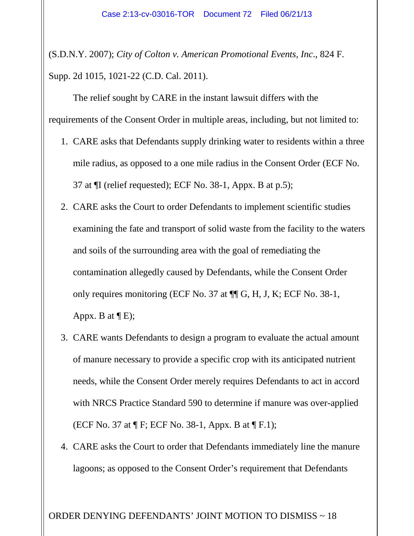(S.D.N.Y. 2007); *City of Colton v. American Promotional Events, Inc*., 824 F. Supp. 2d 1015, 1021-22 (C.D. Cal. 2011).

The relief sought by CARE in the instant lawsuit differs with the requirements of the Consent Order in multiple areas, including, but not limited to:

- 1. CARE asks that Defendants supply drinking water to residents within a three mile radius, as opposed to a one mile radius in the Consent Order (ECF No. 37 at ¶I (relief requested); ECF No. 38-1, Appx. B at p.5);
- 2. CARE asks the Court to order Defendants to implement scientific studies examining the fate and transport of solid waste from the facility to the waters and soils of the surrounding area with the goal of remediating the contamination allegedly caused by Defendants, while the Consent Order only requires monitoring (ECF No. 37 at ¶¶ G, H, J, K; ECF No. 38-1, Appx. B at  $\P$ E);
- 3. CARE wants Defendants to design a program to evaluate the actual amount of manure necessary to provide a specific crop with its anticipated nutrient needs, while the Consent Order merely requires Defendants to act in accord with NRCS Practice Standard 590 to determine if manure was over-applied (ECF No. 37 at ¶ F; ECF No. 38-1, Appx. B at ¶ F.1);
- 4. CARE asks the Court to order that Defendants immediately line the manure lagoons; as opposed to the Consent Order's requirement that Defendants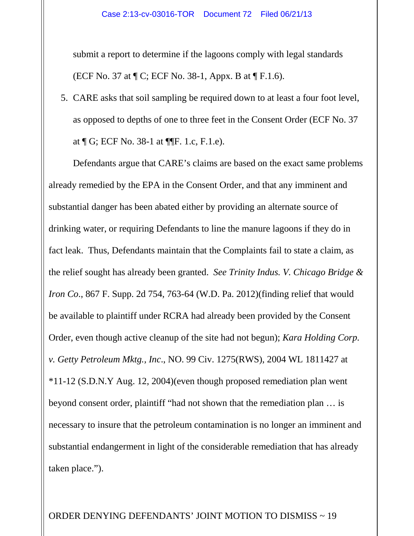submit a report to determine if the lagoons comply with legal standards (ECF No. 37 at ¶ C; ECF No. 38-1, Appx. B at ¶ F.1.6).

5. CARE asks that soil sampling be required down to at least a four foot level, as opposed to depths of one to three feet in the Consent Order (ECF No. 37 at ¶ G; ECF No. 38-1 at ¶¶F. 1.c, F.1.e).

Defendants argue that CARE's claims are based on the exact same problems already remedied by the EPA in the Consent Order, and that any imminent and substantial danger has been abated either by providing an alternate source of drinking water, or requiring Defendants to line the manure lagoons if they do in fact leak. Thus, Defendants maintain that the Complaints fail to state a claim, as the relief sought has already been granted. *See Trinity Indus. V. Chicago Bridge & Iron Co.*, 867 F. Supp. 2d 754, 763-64 (W.D. Pa. 2012)(finding relief that would be available to plaintiff under RCRA had already been provided by the Consent Order, even though active cleanup of the site had not begun); *Kara Holding Corp. v. Getty Petroleum Mktg., Inc*., NO. 99 Civ. 1275(RWS), 2004 WL 1811427 at \*11-12 (S.D.N.Y Aug. 12, 2004)(even though proposed remediation plan went beyond consent order, plaintiff "had not shown that the remediation plan … is necessary to insure that the petroleum contamination is no longer an imminent and substantial endangerment in light of the considerable remediation that has already taken place.").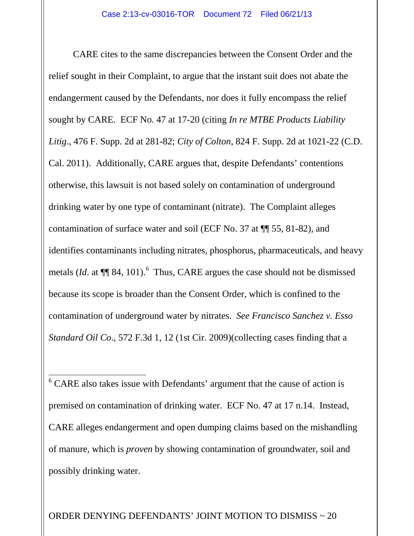CARE cites to the same discrepancies between the Consent Order and the relief sought in their Complaint, to argue that the instant suit does not abate the endangerment caused by the Defendants, nor does it fully encompass the relief sought by CARE. ECF No. 47 at 17-20 (citing *In re MTBE Products Liability Litig*., 476 F. Supp. 2d at 281-82; *City of Colton*, 824 F. Supp. 2d at 1021-22 (C.D. Cal. 2011). Additionally, CARE argues that, despite Defendants' contentions otherwise, this lawsuit is not based solely on contamination of underground drinking water by one type of contaminant (nitrate). The Complaint alleges contamination of surface water and soil (ECF No. 37 at ¶¶ 55, 81-82), and identifies contaminants including nitrates, phosphorus, pharmaceuticals, and heavy metals  $Id$ . at  $\P$  84, 101).<sup>[6](#page-19-0)</sup> Thus, CARE argues the case should not be dismissed because its scope is broader than the Consent Order, which is confined to the contamination of underground water by nitrates. *See Francisco Sanchez v. Esso Standard Oil Co*., 572 F.3d 1, 12 (1st Cir. 2009)(collecting cases finding that a

<span id="page-19-0"></span> $6$  CARE also takes issue with Defendants' argument that the cause of action is premised on contamination of drinking water. ECF No. 47 at 17 n.14. Instead, CARE alleges endangerment and open dumping claims based on the mishandling of manure, which is *proven* by showing contamination of groundwater, soil and possibly drinking water. t

ORDER DENYING DEFENDANTS' JOINT MOTION TO DISMISS ~ 20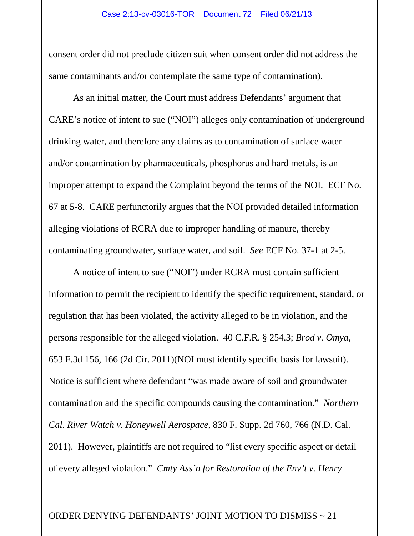consent order did not preclude citizen suit when consent order did not address the same contaminants and/or contemplate the same type of contamination).

As an initial matter, the Court must address Defendants' argument that CARE's notice of intent to sue ("NOI") alleges only contamination of underground drinking water, and therefore any claims as to contamination of surface water and/or contamination by pharmaceuticals, phosphorus and hard metals, is an improper attempt to expand the Complaint beyond the terms of the NOI. ECF No. 67 at 5-8. CARE perfunctorily argues that the NOI provided detailed information alleging violations of RCRA due to improper handling of manure, thereby contaminating groundwater, surface water, and soil. *See* ECF No. 37-1 at 2-5.

A notice of intent to sue ("NOI") under RCRA must contain sufficient information to permit the recipient to identify the specific requirement, standard, or regulation that has been violated, the activity alleged to be in violation, and the persons responsible for the alleged violation. 40 C.F.R. § 254.3; *Brod v. Omya*, 653 F.3d 156, 166 (2d Cir. 2011)(NOI must identify specific basis for lawsuit). Notice is sufficient where defendant "was made aware of soil and groundwater contamination and the specific compounds causing the contamination." *Northern Cal. River Watch v. Honeywell Aerospace*, 830 F. Supp. 2d 760, 766 (N.D. Cal. 2011). However, plaintiffs are not required to "list every specific aspect or detail of every alleged violation." *Cmty Ass'n for Restoration of the Env't v. Henry*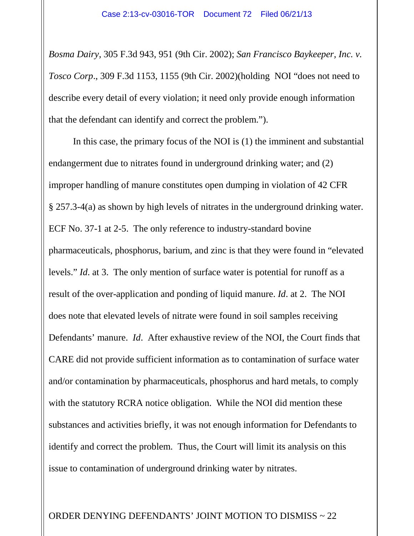*Bosma Dairy*, 305 F.3d 943, 951 (9th Cir. 2002); *San Francisco Baykeeper, Inc. v. Tosco Corp*., 309 F.3d 1153, 1155 (9th Cir. 2002)(holding NOI "does not need to describe every detail of every violation; it need only provide enough information that the defendant can identify and correct the problem.").

In this case, the primary focus of the NOI is (1) the imminent and substantial endangerment due to nitrates found in underground drinking water; and (2) improper handling of manure constitutes open dumping in violation of 42 CFR § 257.3-4(a) as shown by high levels of nitrates in the underground drinking water. ECF No. 37-1 at 2-5. The only reference to industry-standard bovine pharmaceuticals, phosphorus, barium, and zinc is that they were found in "elevated levels." *Id*. at 3. The only mention of surface water is potential for runoff as a result of the over-application and ponding of liquid manure. *Id*. at 2. The NOI does note that elevated levels of nitrate were found in soil samples receiving Defendants' manure. *Id*. After exhaustive review of the NOI, the Court finds that CARE did not provide sufficient information as to contamination of surface water and/or contamination by pharmaceuticals, phosphorus and hard metals, to comply with the statutory RCRA notice obligation. While the NOI did mention these substances and activities briefly, it was not enough information for Defendants to identify and correct the problem. Thus, the Court will limit its analysis on this issue to contamination of underground drinking water by nitrates.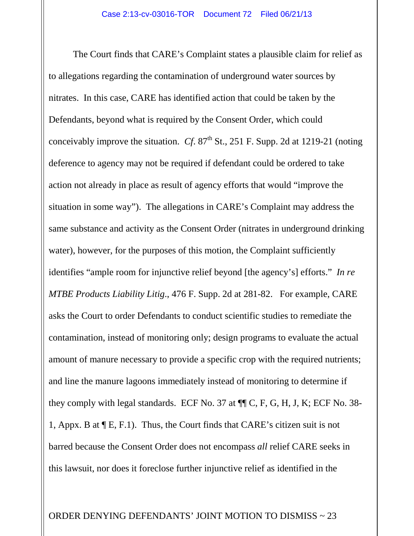The Court finds that CARE's Complaint states a plausible claim for relief as to allegations regarding the contamination of underground water sources by nitrates. In this case, CARE has identified action that could be taken by the Defendants, beyond what is required by the Consent Order, which could conceivably improve the situation. *Cf.*  $87<sup>th</sup>$  St., 251 F. Supp. 2d at 1219-21 (noting deference to agency may not be required if defendant could be ordered to take action not already in place as result of agency efforts that would "improve the situation in some way"). The allegations in CARE's Complaint may address the same substance and activity as the Consent Order (nitrates in underground drinking water), however, for the purposes of this motion, the Complaint sufficiently identifies "ample room for injunctive relief beyond [the agency's] efforts." *In re MTBE Products Liability Litig*., 476 F. Supp. 2d at 281-82. For example, CARE asks the Court to order Defendants to conduct scientific studies to remediate the contamination, instead of monitoring only; design programs to evaluate the actual amount of manure necessary to provide a specific crop with the required nutrients; and line the manure lagoons immediately instead of monitoring to determine if they comply with legal standards. ECF No. 37 at ¶¶ C, F, G, H, J, K; ECF No. 38- 1, Appx. B at  $\P$  E, F.1). Thus, the Court finds that CARE's citizen suit is not barred because the Consent Order does not encompass *all* relief CARE seeks in this lawsuit, nor does it foreclose further injunctive relief as identified in the